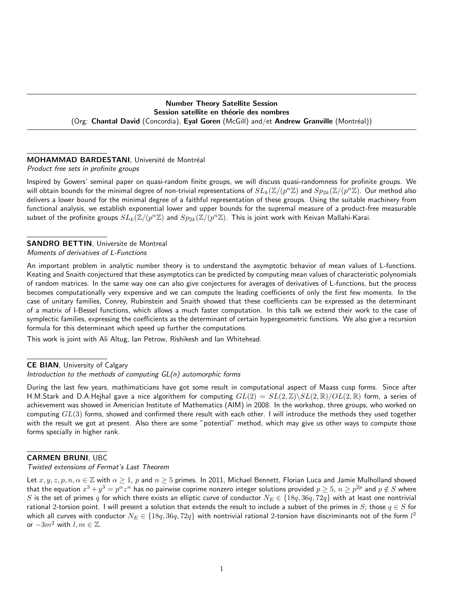# Number Theory Satellite Session Session satellite en théorie des nombres (Org: Chantal David (Concordia), Eyal Goren (McGill) and/et Andrew Granville (Montréal))

# MOHAMMAD BARDESTANI, Université de Montréal

Product free sets in profinite groups

Inspired by Gowers' seminal paper on quasi-random finite groups, we will discuss quasi-randomness for profinite groups. We will obtain bounds for the minimal degree of non-trivial representations of  $SL_k(\Z/(p^n\Z)$  and  $Sp_{2k}(\Z/(p^n\Z)$ . Our method also delivers a lower bound for the minimal degree of a faithful representation of these groups. Using the suitable machinery from functional analysis, we establish exponential lower and upper bounds for the supremal measure of a product-free measurable subset of the profinite groups  $SL_k(\mathbb{Z}/(p^n\mathbb{Z})$  and  $Sp_{2k}(\mathbb{Z}/(p^n\mathbb{Z}).$  This is joint work with Keivan Mallahi-Karai.

### SANDRO BETTIN, Universite de Montreal Moments of derivatives of L-Functions

An important problem in analytic number theory is to understand the asymptotic behavior of mean values of L-functions. Keating and Snaith conjectured that these asymptotics can be predicted by computing mean values of characteristic polynomials of random matrices. In the same way one can also give conjectures for averages of derivatives of L-functions, but the process becomes computationally very expensive and we can compute the leading coefficients of only the first few moments. In the case of unitary families, Conrey, Rubinstein and Snaith showed that these coefficients can be expressed as the determinant of a matrix of I-Bessel functions, which allows a much faster computation. In this talk we extend their work to the case of symplectic families, expressing the coefficients as the determinant of certain hypergeometric functions. We also give a recursion formula for this determinant which speed up further the computations.

This work is joint with Ali Altug, Ian Petrow, Rishikesh and Ian Whitehead.

# CE BIAN, University of Calgary

### Introduction to the methods of computing GL(n) automorphic forms

During the last few years, mathimaticians have got some result in computational aspect of Maass cusp forms. Since after H.M.Stark and D.A.Heihal gave a nice algorithem for computing  $GL(2) = SL(2,\mathbb{Z})\backslash SL(2,\mathbb{R})/OL(2,\mathbb{R})$  form, a series of achievement was showed in Americian Institute of Mathematics (AIM) in 2008. In the workshop, three groups, who worked on computing  $GL(3)$  forms, showed and confirmed there result with each other. I will introduce the methods they used together with the result we got at present. Also there are some "potential" method, which may give us other ways to compute those forms specially in higher rank.

# CARMEN BRUNI, UBC

Twisted extensions of Fermat's Last Theorem

Let  $x, y, z, p, n, \alpha \in \mathbb{Z}$  with  $\alpha \ge 1$ , p and  $n \ge 5$  primes. In 2011, Michael Bennett, Florian Luca and Jamie Mulholland showed that the equation  $x^3+y^3=p^\alpha z^n$  has no pairwise coprime nonzero integer solutions provided  $p\geq 5$ ,  $n\geq p^{2p}$  and  $p\notin S$  where S is the set of primes  $q$  for which there exists an elliptic curve of conductor  $N_E \in \{18q, 36q, 72q\}$  with at least one nontrivial rational 2-torsion point. I will present a solution that extends the result to include a subset of the primes in S; those  $q \in S$  for which all curves with conductor  $N_E\in\{18q,36q,72q\}$  with nontrivial rational 2-torsion have discriminants not of the form  $l^2$ or  $-3m^2$  with  $l, m \in \mathbb{Z}$ .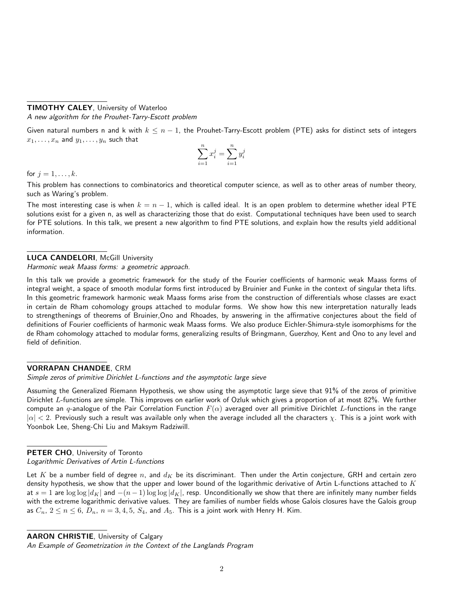# TIMOTHY CALEY, University of Waterloo

A new algorithm for the Prouhet-Tarry-Escott problem

Given natural numbers n and k with  $k \leq n-1$ , the Prouhet-Tarry-Escott problem (PTE) asks for distinct sets of integers  $x_1, \ldots, x_n$  and  $y_1, \ldots, y_n$  such that

$$
\sum_{i=1}^{n} x_i^j = \sum_{i=1}^{n} y_i^j
$$

for  $i = 1, \ldots, k$ .

This problem has connections to combinatorics and theoretical computer science, as well as to other areas of number theory, such as Waring's problem.

The most interesting case is when  $k = n - 1$ , which is called ideal. It is an open problem to determine whether ideal PTE solutions exist for a given n, as well as characterizing those that do exist. Computational techniques have been used to search for PTE solutions. In this talk, we present a new algorithm to find PTE solutions, and explain how the results yield additional information.

# LUCA CANDELORI, McGill University

Harmonic weak Maass forms: a geometric approach.

In this talk we provide a geometric framework for the study of the Fourier coefficients of harmonic weak Maass forms of integral weight, a space of smooth modular forms first introduced by Bruinier and Funke in the context of singular theta lifts. In this geometric framework harmonic weak Maass forms arise from the construction of differentials whose classes are exact in certain de Rham cohomology groups attached to modular forms. We show how this new interpretation naturally leads to strengthenings of theorems of Bruinier,Ono and Rhoades, by answering in the affirmative conjectures about the field of definitions of Fourier coefficients of harmonic weak Maass forms. We also produce Eichler-Shimura-style isomorphisms for the de Rham cohomology attached to modular forms, generalizing results of Bringmann, Guerzhoy, Kent and Ono to any level and field of definition.

# VORRAPAN CHANDEE, CRM

Simple zeros of primitive Dirichlet L-functions and the asymptotic large sieve

Assuming the Generalized Riemann Hypothesis, we show using the asymptotic large sieve that 91% of the zeros of primitive Dirichlet L-functions are simple. This improves on earlier work of Ozluk which gives a proportion of at most 82%. We further compute an q-analogue of the Pair Correlation Function  $F(\alpha)$  averaged over all primitive Dirichlet L-functions in the range  $|\alpha| < 2$ . Previously such a result was available only when the average included all the characters  $\chi$ . This is a joint work with Yoonbok Lee, Sheng-Chi Liu and Maksym Radziwill.

# PETER CHO, University of Toronto

Logarithmic Derivatives of Artin L-functions

Let K be a number field of degree n, and  $d_K$  be its discriminant. Then under the Artin conjecture, GRH and certain zero density hypothesis, we show that the upper and lower bound of the logarithmic derivative of Artin L-functions attached to  $K$ at  $s = 1$  are  $\log \log |d_K|$  and  $-(n-1) \log \log |d_K|$ , resp. Unconditionally we show that there are infinitely many number fields with the extreme logarithmic derivative values. They are families of number fields whose Galois closures have the Galois group as  $C_n$ ,  $2 \le n \le 6$ ,  $D_n$ ,  $n = 3, 4, 5$ ,  $S_4$ , and  $A_5$ . This is a joint work with Henry H. Kim.

AARON CHRISTIE, University of Calgary

An Example of Geometrization in the Context of the Langlands Program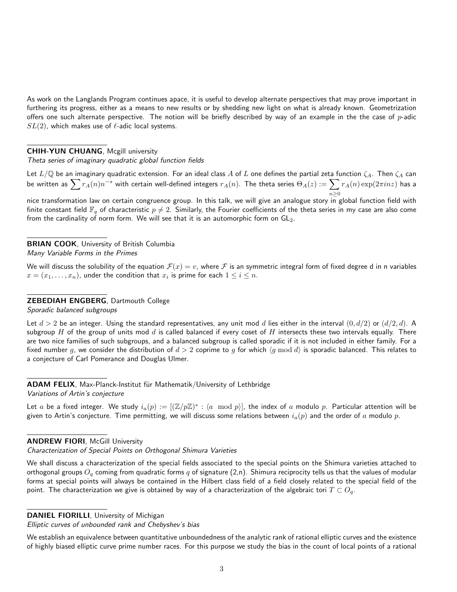As work on the Langlands Program continues apace, it is useful to develop alternate perspectives that may prove important in furthering its progress, either as a means to new results or by shedding new light on what is already known. Geometrization offers one such alternate perspective. The notion will be briefly described by way of an example in the the case of  $p$ -adic  $SL(2)$ , which makes use of  $\ell$ -adic local systems.

### CHIH-YUN CHUANG, Mcgill university

Theta series of imaginary quadratic global function fields

Let  $L/\mathbb{Q}$  be an imaginary quadratic extension. For an ideal class A of L one defines the partial zeta function  $\zeta_A$ . Then  $\zeta_A$  can be written as  $\sum r_A(n)n^{-s}$  with certain well-defined integers  $r_A(n)$ . The theta series  $\Theta_A(z):=\sum p_A(n)$  $n\geq 0$  $r_A(n) \exp(2 \pi i n z)$  has a

nice transformation law on certain congruence group. In this talk, we will give an analogue story in global function field with finite constant field  $\mathbb{F}_q$  of characteristic  $p \neq 2$ . Similarly, the Fourier coefficients of the theta series in my case are also come from the cardinality of norm form. We will see that it is an automorphic form on  $GL_2$ .

### **BRIAN COOK, University of British Columbia** Many Variable Forms in the Primes

We will discuss the solubility of the equation  $\mathcal{F}(x) = v$ , where F is an symmetric integral form of fixed degree d in n variables  $x=(x_1,\ldots,x_n)$ , under the condition that  $x_i$  is prime for each  $1\leq i\leq n$ .

# ZEBEDIAH ENGBERG, Dartmouth College

Sporadic balanced subgroups

Let  $d > 2$  be an integer. Using the standard representatives, any unit mod d lies either in the interval  $(0, d/2)$  or  $(d/2, d)$ . A subgroup  $H$  of the group of units mod  $d$  is called balanced if every coset of  $H$  intersects these two intervals equally. There are two nice families of such subgroups, and a balanced subgroup is called sporadic if it is not included in either family. For a fixed number g, we consider the distribution of  $d > 2$  coprime to g for which  $\langle g \bmod d \rangle$  is sporadic balanced. This relates to a conjecture of Carl Pomerance and Douglas Ulmer.

ADAM FELIX, Max-Planck-Institut für Mathematik/University of Lethbridge Variations of Artin's conjecture

Let  $a$  be a fixed integer. We study  $i_a(p):=[(\mathbb{Z}/p\mathbb{Z})^*:\langle a\mod p\rangle],$  the index of  $a$  modulo  $p.$  Particular attention will be given to Artin's conjecture. Time permitting, we will discuss some relations between  $i_a(p)$  and the order of a modulo p.

### **ANDREW FIORI, McGill University**

Characterization of Special Points on Orthogonal Shimura Varieties

We shall discuss a characterization of the special fields associated to the special points on the Shimura varieties attached to orthogonal groups  $O_q$  coming from quadratic forms q of signature (2,n). Shimura reciprocity tells us that the values of modular forms at special points will always be contained in the Hilbert class field of a field closely related to the special field of the point. The characterization we give is obtained by way of a characterization of the algebraic tori  $T \subset O_q$ .

DANIEL FIORILLI, University of Michigan

Elliptic curves of unbounded rank and Chebyshev's bias

We establish an equivalence between quantitative unboundedness of the analytic rank of rational elliptic curves and the existence of highly biased elliptic curve prime number races. For this purpose we study the bias in the count of local points of a rational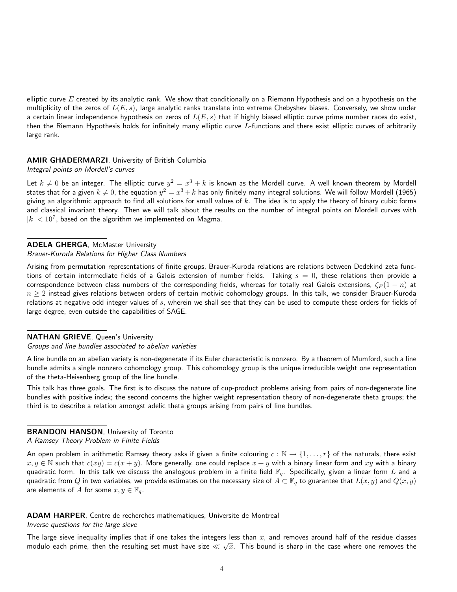elliptic curve  $E$  created by its analytic rank. We show that conditionally on a Riemann Hypothesis and on a hypothesis on the multiplicity of the zeros of  $L(E, s)$ , large analytic ranks translate into extreme Chebyshev biases. Conversely, we show under a certain linear independence hypothesis on zeros of  $L(E, s)$  that if highly biased elliptic curve prime number races do exist, then the Riemann Hypothesis holds for infinitely many elliptic curve L-functions and there exist elliptic curves of arbitrarily large rank.

# AMIR GHADERMARZI, University of British Columbia

Integral points on Mordell's curves

Let  $k\neq 0$  be an integer. The elliptic curve  $y^2=x^3+k$  is known as the Mordell curve. A well known theorem by Mordell states that for a given  $k\neq 0$ , the equation  $y^2=x^3+k$  has only finitely many integral solutions. We will follow Mordell (1965) giving an algorithmic approach to find all solutions for small values of  $k$ . The idea is to apply the theory of binary cubic forms and classical invariant theory. Then we will talk about the results on the number of integral points on Mordell curves with  $|k| < 10^7$ , based on the algorithm we implemented on Magma.

ADELA GHERGA, McMaster University Brauer-Kuroda Relations for Higher Class Numbers

Arising from permutation representations of finite groups, Brauer-Kuroda relations are relations between Dedekind zeta functions of certain intermediate fields of a Galois extension of number fields. Taking  $s = 0$ , these relations then provide a correspondence between class numbers of the corresponding fields, whereas for totally real Galois extensions,  $\zeta_F(1-n)$  at  $n \geq 2$  instead gives relations between orders of certain motivic cohomology groups. In this talk, we consider Brauer-Kuroda relations at negative odd integer values of  $s$ , wherein we shall see that they can be used to compute these orders for fields of large degree, even outside the capabilities of SAGE.

NATHAN GRIEVE, Queen's University

### Groups and line bundles associated to abelian varieties

A line bundle on an abelian variety is non-degenerate if its Euler characteristic is nonzero. By a theorem of Mumford, such a line bundle admits a single nonzero cohomology group. This cohomology group is the unique irreducible weight one representation of the theta-Heisenberg group of the line bundle.

This talk has three goals. The first is to discuss the nature of cup-product problems arising from pairs of non-degenerate line bundles with positive index; the second concerns the higher weight representation theory of non-degenerate theta groups; the third is to describe a relation amongst adelic theta groups arising from pairs of line bundles.

# **BRANDON HANSON, University of Toronto**

A Ramsey Theory Problem in Finite Fields

An open problem in arithmetic Ramsey theory asks if given a finite colouring  $c : \mathbb{N} \to \{1, \ldots, r\}$  of the naturals, there exist  $x, y \in \mathbb{N}$  such that  $c(xy) = c(x + y)$ . More generally, one could replace  $x + y$  with a binary linear form and  $xy$  with a binary quadratic form. In this talk we discuss the analogous problem in a finite field  $\mathbb{F}_q$ . Specifically, given a linear form L and a quadratic from Q in two variables, we provide estimates on the necessary size of  $A\subset \mathbb{F}_q$  to guarantee that  $L(x, y)$  and  $Q(x, y)$ are elements of A for some  $x, y \in \mathbb{F}_q$ .

ADAM HARPER, Centre de recherches mathematiques, Universite de Montreal

Inverse questions for the large sieve

The large sieve inequality implies that if one takes the integers less than x, and removes around half of the residue classes modulo each prime, then the resulting set must have size  $\ll \sqrt{x}.$  This bound is sharp in the case where one removes the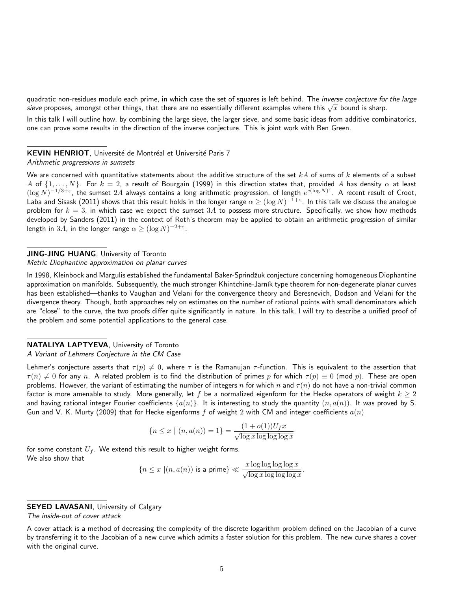quadratic non-residues modulo each prime, in which case the set of squares is left behind. The inverse conjecture for the large quadratic non-residues modulo each prime, in which case the set or squares is left behind. The *inverse conjecture for*<br>*sieve* proposes, amongst other things, that there are no essentially different examples where this

In this talk I will outline how, by combining the large sieve, the larger sieve, and some basic ideas from additive combinatorics, one can prove some results in the direction of the inverse conjecture. This is joint work with Ben Green.

#### KEVIN HENRIOT, Université de Montréal et Université Paris 7

#### Arithmetic progressions in sumsets

We are concerned with quantitative statements about the additive structure of the set  $kA$  of sums of k elements of a subset A of  $\{1,\ldots,N\}$ . For  $k=2$ , a result of Bourgain (1999) in this direction states that, provided A has density  $\alpha$  at least  $(\log N)^{-1/3+\varepsilon}$ , the sumset  $2A$  always contains a long arithmetic progression, of length  $e^{c(\log N)^c}$ . A recent result of Croot, Laba and Sisask (2011) shows that this result holds in the longer range  $\alpha\ge(\log N)^{-1+\varepsilon}.$  In this talk we discuss the analogue problem for  $k = 3$ , in which case we expect the sumset  $3A$  to possess more structure. Specifically, we show how methods developed by Sanders (2011) in the context of Roth's theorem may be applied to obtain an arithmetic progression of similar length in  $3A$ , in the longer range  $\alpha \geq (\log N)^{-2+\varepsilon}.$ 

#### JING-JING HUANG, University of Toronto

### Metric Diophantine approximation on planar curves

In 1998, Kleinbock and Margulis established the fundamental Baker-Sprindžuk conjecture concerning homogeneous Diophantine approximation on manifolds. Subsequently, the much stronger Khintchine-Jarník type theorem for non-degenerate planar curves has been established—thanks to Vaughan and Velani for the convergence theory and Beresnevich, Dodson and Velani for the divergence theory. Though, both approaches rely on estimates on the number of rational points with small denominators which are "close" to the curve, the two proofs differ quite significantly in nature. In this talk, I will try to describe a unified proof of the problem and some potential applications to the general case.

#### NATALIYA LAPTYEVA, University of Toronto A Variant of Lehmers Conjecture in the CM Case

Lehmer's conjecture asserts that  $\tau(p) \neq 0$ , where  $\tau$  is the Ramanujan  $\tau$ -function. This is equivalent to the assertion that  $\tau(n) \neq 0$  for any n. A related problem is to find the distribution of primes p for which  $\tau(p) \equiv 0$  (mod p). These are open problems. However, the variant of estimating the number of integers n for which n and  $\tau(n)$  do not have a non-trivial common factor is more amenable to study. More generally, let f be a normalized eigenform for the Hecke operators of weight  $k \ge 2$ and having rational integer Fourier coefficients  $\{a(n)\}\$ . It is interesting to study the quantity  $(n, a(n))$ . It was proved by S. Gun and V. K. Murty (2009) that for Hecke eigenforms f of weight 2 with CM and integer coefficients  $a(n)$ 

$$
\{n \le x \mid (n, a(n)) = 1\} = \frac{(1 + o(1))U_f x}{\sqrt{\log x \log \log \log x}}
$$

for some constant  $U_f$ . We extend this result to higher weight forms. We also show that

$$
\{n \le x \ | (n, a(n)) \text{ is a prime}\} \ll \frac{x \log \log \log \log x}{\sqrt{\log x \log \log \log x}}.
$$

**SEYED LAVASANI**, University of Calgary The inside-out of cover attack

A cover attack is a method of decreasing the complexity of the discrete logarithm problem defined on the Jacobian of a curve by transferring it to the Jacobian of a new curve which admits a faster solution for this problem. The new curve shares a cover with the original curve.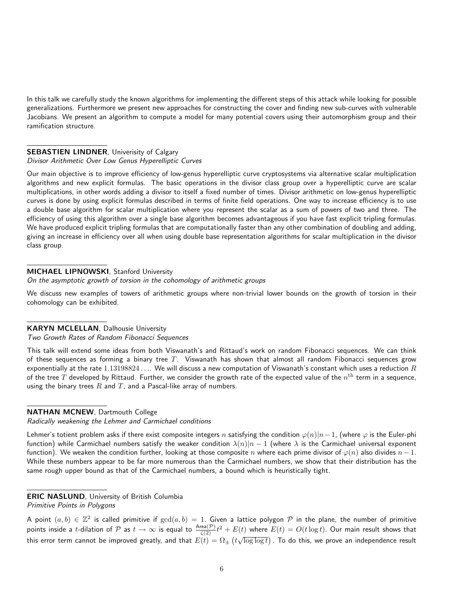In this talk we carefully study the known algorithms for implementing the different steps of this attack while looking for possible generalizations. Furthermore we present new approaches for constructing the cover and finding new sub-curves with vulnerable Jacobians. We present an algorithm to compute a model for many potential covers using their automorphism group and their ramification structure.

### **SEBASTIEN LINDNER, Univerisity of Calgary**

### Divisor Arithmetic Over Low Genus Hyperelliptic Curves

Our main objective is to improve efficiency of low-genus hyperelliptic curve cryptosystems via alternative scalar multiplication algorithms and new explicit formulas. The basic operations in the divisor class group over a hyperelliptic curve are scalar multiplications, in other words adding a divisor to itself a fixed number of times. Divisor arithmetic on low-genus hyperelliptic curves is done by using explicit formulas described in terms of finite field operations. One way to increase efficiency is to use a double base algorithm for scalar multiplication where you represent the scalar as a sum of powers of two and three. The efficiency of using this algorithm over a single base algorithm becomes advantageous if you have fast explicit tripling formulas. We have produced explicit tripling formulas that are computationally faster than any other combination of doubling and adding, giving an increase in efficiency over all when using double base representation algorithms for scalar multiplication in the divisor class group.

# MICHAEL LIPNOWSKI, Stanford University

On the asymptotic growth of torsion in the cohomology of arithmetic groups

We discuss new examples of towers of arithmetic groups where non-trivial lower bounds on the growth of torsion in their cohomology can be exhibited.

# KARYN MCLELLAN, Dalhousie University

### Two Growth Rates of Random Fibonacci Sequences

This talk will extend some ideas from both Viswanath's and Rittaud's work on random Fibonacci sequences. We can think of these sequences as forming a binary tree  $T$ . Viswanath has shown that almost all random Fibonacci sequences grow exponentially at the rate  $1.13198824...$  We will discuss a new computation of Viswanath's constant which uses a reduction  $R$ of the tree  $T$  developed by Rittaud. Further, we consider the growth rate of the expected value of the  $n^{\rm th}$  term in a sequence, using the binary trees  $R$  and  $T$ , and a Pascal-like array of numbers.

### NATHAN MCNEW, Dartmouth College

Radically weakening the Lehmer and Carmichael conditions

Lehmer's totient problem asks if there exist composite integers n satisfying the condition  $\varphi(n)|n-1$ , (where  $\varphi$  is the Euler-phi function) while Carmichael numbers satisfy the weaker condition  $\lambda(n)|n-1$  (where  $\lambda$  is the Carmichael universal exponent function). We weaken the condition further, looking at those composite n where each prime divisor of  $\varphi(n)$  also divides  $n-1$ . While these numbers appear to be far more numerous than the Carmichael numbers, we show that their distribution has the same rough upper bound as that of the Carmichael numbers, a bound which is heuristically tight.

# ERIC NASLUND, University of British Columbia

Primitive Points in Polygons

A point  $(a,b)\in\mathbb{Z}^2$  is called primitive if  $\gcd(a,b)=1.$  Given a lattice polygon  $\mathcal P$  in the plane, the number of primitive points inside a *t*-dilation of P as  $t \to \infty$  is equal to  $\frac{\text{Area}(\mathcal{P})}{\zeta(2)}t^2 + E(t)$  where  $E(t) = O(t \log t)$ . Our main result shows that this error term cannot be improved greatly, and that  $E(t)=\Omega_\pm\left(t\sqrt{\log\log t}\right)$  . To do this, we prove an independence result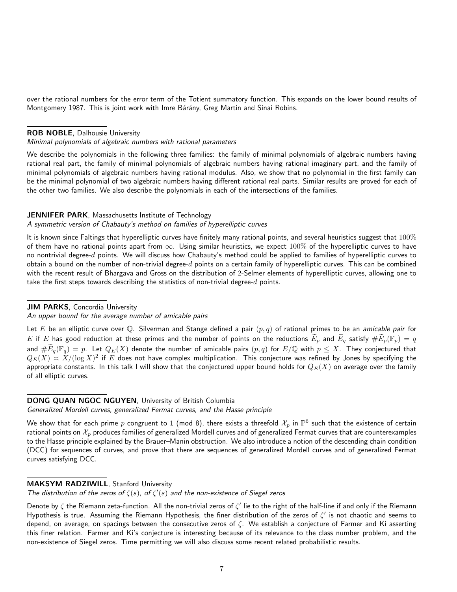over the rational numbers for the error term of the Totient summatory function. This expands on the lower bound results of Montgomery 1987. This is joint work with Imre Bárány, Greg Martin and Sinai Robins.

#### ROB NOBLE, Dalhousie University

#### Minimal polynomials of algebraic numbers with rational parameters

We describe the polynomials in the following three families: the family of minimal polynomials of algebraic numbers having rational real part, the family of minimal polynomials of algebraic numbers having rational imaginary part, and the family of minimal polynomials of algebraic numbers having rational modulus. Also, we show that no polynomial in the first family can be the minimal polynomial of two algebraic numbers having different rational real parts. Similar results are proved for each of the other two families. We also describe the polynomials in each of the intersections of the families.

#### JENNIFER PARK, Massachusetts Institute of Technology

#### A symmetric version of Chabauty's method on families of hyperelliptic curves

It is known since Faltings that hyperelliptic curves have finitely many rational points, and several heuristics suggest that  $100\%$ of them have no rational points apart from  $\infty$ . Using similar heuristics, we expect 100% of the hyperelliptic curves to have no nontrivial degree- $d$  points. We will discuss how Chabauty's method could be applied to families of hyperelliptic curves to obtain a bound on the number of non-trivial degree- $d$  points on a certain family of hyperelliptic curves. This can be combined with the recent result of Bhargava and Gross on the distribution of 2-Selmer elements of hyperelliptic curves, allowing one to take the first steps towards describing the statistics of non-trivial degree- $d$  points.

#### JIM PARKS, Concordia University

#### An upper bound for the average number of amicable pairs

Let E be an elliptic curve over Q. Silverman and Stange defined a pair  $(p, q)$  of rational primes to be an amicable pair for  $E$  if  $E$  has good reduction at these primes and the number of points on the reductions  $\widetilde{E}_p$  and  $\widetilde{E}_q$  satisfy  $\#\widetilde{E}_p(\mathbb{F}_p)=q$ and  $\#E_q(\mathbb{F}_q)=p$ . Let  $Q_E(X)$  denote the number of amicable pairs  $(p,q)$  for  $E/\mathbb{Q}$  with  $p\leq X$ . They conjectured that  $Q_E(X)\asymp X/(\log X)^2$  if  $E$  does not have complex multiplication. This conjecture was refined by Jones by specifying the appropriate constants. In this talk I will show that the conjectured upper bound holds for  $Q_E(X)$  on average over the family of all elliptic curves.

#### DONG QUAN NGOC NGUYEN, University of British Columbia

Generalized Mordell curves, generalized Fermat curves, and the Hasse principle

We show that for each prime  $p$  congruent to 1 (mod 8), there exists a threefold  $\mathcal{X}_p$  in  $\mathbb{P}^6$  such that the existence of certain rational points on  $\mathcal{X}_p$  produces families of generalized Mordell curves and of generalized Fermat curves that are counterexamples to the Hasse principle explained by the Brauer–Manin obstruction. We also introduce a notion of the descending chain condition (DCC) for sequences of curves, and prove that there are sequences of generalized Mordell curves and of generalized Fermat curves satisfying DCC.

#### MAKSYM RADZIWILL, Stanford University

The distribution of the zeros of  $\zeta(s)$ , of  $\zeta'(s)$  and the non-existence of Siegel zeros

Denote by  $\zeta$  the Riemann zeta-function. All the non-trivial zeros of  $\zeta'$  lie to the right of the half-line if and only if the Riemann Hypothesis is true. Assuming the Riemann Hypothesis, the finer distribution of the zeros of  $\zeta'$  is not chaotic and seems to depend, on average, on spacings between the consecutive zeros of ζ. We establish a conjecture of Farmer and Ki asserting this finer relation. Farmer and Ki's conjecture is interesting because of its relevance to the class number problem, and the non-existence of Siegel zeros. Time permitting we will also discuss some recent related probabilistic results.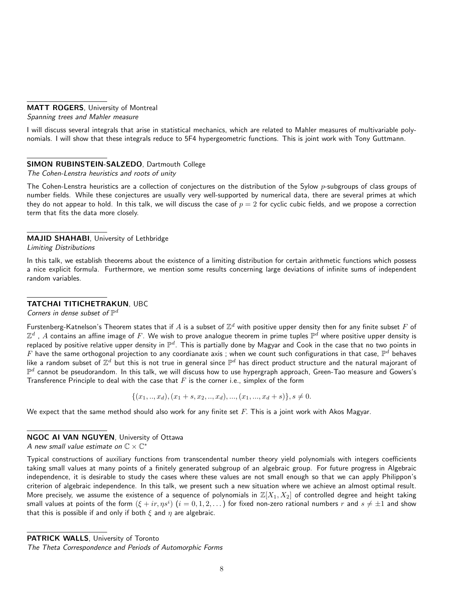### MATT ROGERS, University of Montreal

Spanning trees and Mahler measure

I will discuss several integrals that arise in statistical mechanics, which are related to Mahler measures of multivariable polynomials. I will show that these integrals reduce to 5F4 hypergeometric functions. This is joint work with Tony Guttmann.

# SIMON RUBINSTEIN-SALZEDO, Dartmouth College

The Cohen-Lenstra heuristics and roots of unity

The Cohen-Lenstra heuristics are a collection of conjectures on the distribution of the Sylow  $p$ -subgroups of class groups of number fields. While these conjectures are usually very well-supported by numerical data, there are several primes at which they do not appear to hold. In this talk, we will discuss the case of  $p = 2$  for cyclic cubic fields, and we propose a correction term that fits the data more closely.

# MAJID SHAHABI, University of Lethbridge

Limiting Distributions

In this talk, we establish theorems about the existence of a limiting distribution for certain arithmetic functions which possess a nice explicit formula. Furthermore, we mention some results concerning large deviations of infinite sums of independent random variables.

# TATCHAI TITICHETRAKUN, UBC

Corners in dense subset of  $\mathbb{P}^d$ 

Furstenberg-Katnelson's Theorem states that if  $A$  is a subset of  $\Z^d$  with positive upper density then for any finite subset  $F$  of  $\Z^d$  ,  $A$  contains an affine image of  $F.$  We wish to prove analogue theorem in prime tuples  $\mathbb{P}^d$  where positive upper density is replaced by positive relative upper density in  $\mathbb{P}^d$ . This is partially done by Magyar and Cook in the case that no two points in  $F$  have the same orthogonal projection to any coordianate axis ; when we count such configurations in that case,  $\mathbb{P}^d$  behaves like a random subset of  $\Z^d$  but this is not true in general since  $\mathbb{P}^d$  has direct product structure and the natural majorant of  $\mathbb{P}^d$  cannot be pseudorandom. In this talk, we will discuss how to use hypergraph approach, Green-Tao measure and Gowers's Transference Principle to deal with the case that  $F$  is the corner i.e., simplex of the form

 $\{(x_1,..,x_d),(x_1 + s,x_2,..,x_d),...,(x_1,...,x_d + s)\}, s \neq 0.$ 

We expect that the same method should also work for any finite set  $F$ . This is a joint work with Akos Magyar.

# NGOC AI VAN NGUYEN, University of Ottawa

A new small value estimate on  $\mathbb{C}\times \mathbb{C}^*$ 

Typical constructions of auxiliary functions from transcendental number theory yield polynomials with integers coefficients taking small values at many points of a finitely generated subgroup of an algebraic group. For future progress in Algebraic independence, it is desirable to study the cases where these values are not small enough so that we can apply Philippon's criterion of algebraic independence. In this talk, we present such a new situation where we achieve an almost optimal result. More precisely, we assume the existence of a sequence of polynomials in  $\mathbb{Z}[X_1,X_2]$  of controlled degree and height taking small values at points of the form  $(\xi+ir, \eta s^i)$   $(i=0,1,2,\dots)$  for fixed non-zero rational numbers  $r$  and  $s\neq \pm 1$  and show that this is possible if and only if both  $\xi$  and  $\eta$  are algebraic.

PATRICK WALLS, University of Toronto

The Theta Correspondence and Periods of Automorphic Forms